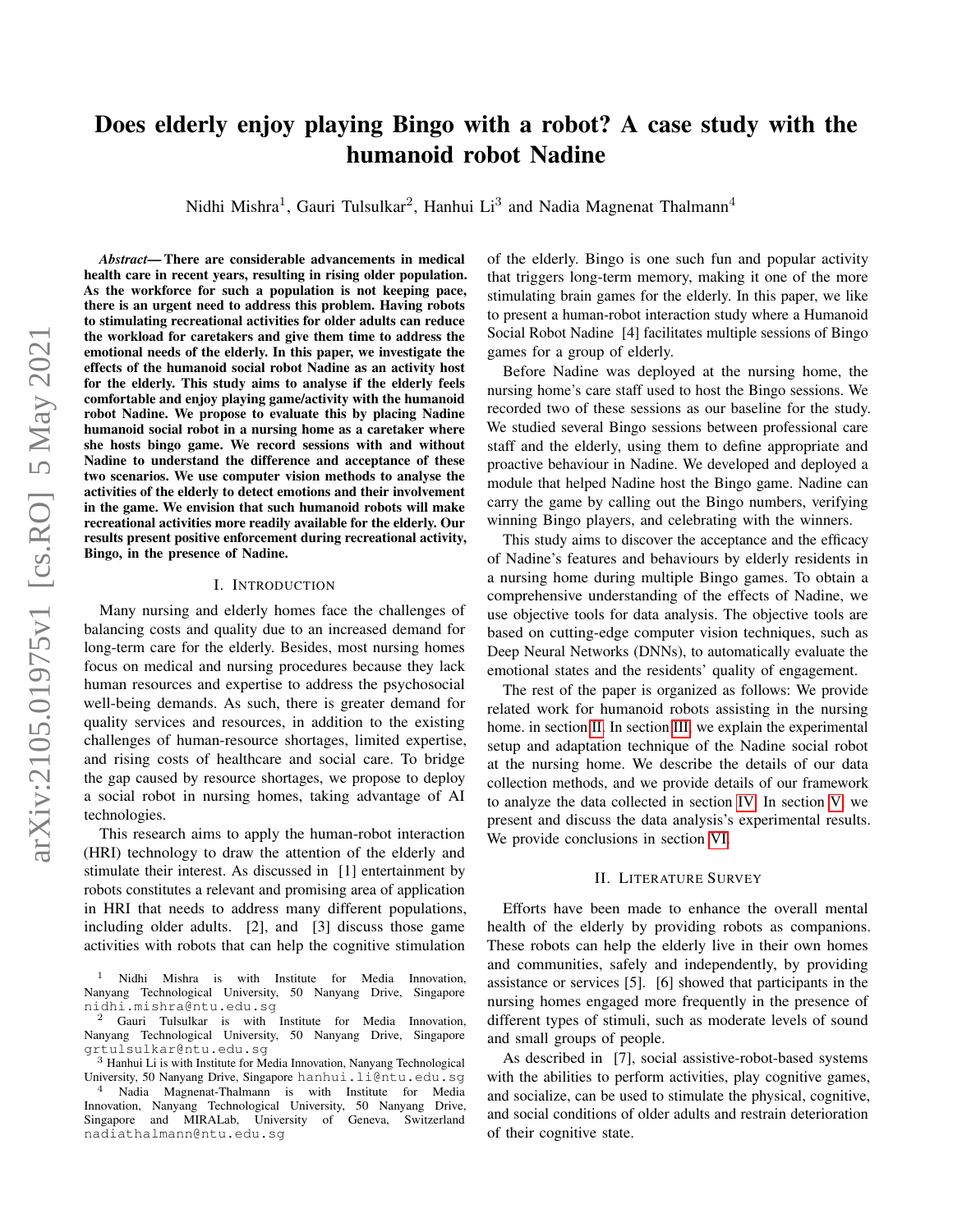# Does elderly enjoy playing Bingo with a robot? A case study with the humanoid robot Nadine

Nidhi Mishra<sup>1</sup>, Gauri Tulsulkar<sup>2</sup>, Hanhui Li<sup>3</sup> and Nadia Magnenat Thalmann<sup>4</sup>

*Abstract*— There are considerable advancements in medical health care in recent years, resulting in rising older population. As the workforce for such a population is not keeping pace, there is an urgent need to address this problem. Having robots to stimulating recreational activities for older adults can reduce the workload for caretakers and give them time to address the emotional needs of the elderly. In this paper, we investigate the effects of the humanoid social robot Nadine as an activity host for the elderly. This study aims to analyse if the elderly feels comfortable and enjoy playing game/activity with the humanoid robot Nadine. We propose to evaluate this by placing Nadine humanoid social robot in a nursing home as a caretaker where she hosts bingo game. We record sessions with and without Nadine to understand the difference and acceptance of these two scenarios. We use computer vision methods to analyse the activities of the elderly to detect emotions and their involvement in the game. We envision that such humanoid robots will make recreational activities more readily available for the elderly. Our results present positive enforcement during recreational activity, Bingo, in the presence of Nadine.

# I. INTRODUCTION

Many nursing and elderly homes face the challenges of balancing costs and quality due to an increased demand for long-term care for the elderly. Besides, most nursing homes focus on medical and nursing procedures because they lack human resources and expertise to address the psychosocial well-being demands. As such, there is greater demand for quality services and resources, in addition to the existing challenges of human-resource shortages, limited expertise, and rising costs of healthcare and social care. To bridge the gap caused by resource shortages, we propose to deploy a social robot in nursing homes, taking advantage of AI technologies.

This research aims to apply the human-robot interaction (HRI) technology to draw the attention of the elderly and stimulate their interest. As discussed in [1] entertainment by robots constitutes a relevant and promising area of application in HRI that needs to address many different populations, including older adults. [2], and [3] discuss those game activities with robots that can help the cognitive stimulation

<sup>3</sup> Hanhui Li is with Institute for Media Innovation, Nanyang Technological University, 50 Nanyang Drive, Singapore hanhui.li@ntu.edu.sg of the elderly. Bingo is one such fun and popular activity that triggers long-term memory, making it one of the more stimulating brain games for the elderly. In this paper, we like to present a human-robot interaction study where a Humanoid Social Robot Nadine [4] facilitates multiple sessions of Bingo games for a group of elderly.

Before Nadine was deployed at the nursing home, the nursing home's care staff used to host the Bingo sessions. We recorded two of these sessions as our baseline for the study. We studied several Bingo sessions between professional care staff and the elderly, using them to define appropriate and proactive behaviour in Nadine. We developed and deployed a module that helped Nadine host the Bingo game. Nadine can carry the game by calling out the Bingo numbers, verifying winning Bingo players, and celebrating with the winners.

This study aims to discover the acceptance and the efficacy of Nadine's features and behaviours by elderly residents in a nursing home during multiple Bingo games. To obtain a comprehensive understanding of the effects of Nadine, we use objective tools for data analysis. The objective tools are based on cutting-edge computer vision techniques, such as Deep Neural Networks (DNNs), to automatically evaluate the emotional states and the residents' quality of engagement.

The rest of the paper is organized as follows: We provide related work for humanoid robots assisting in the nursing home. in section [II.](#page-0-0) In section [III,](#page-1-0) we explain the experimental setup and adaptation technique of the Nadine social robot at the nursing home. We describe the details of our data collection methods, and we provide details of our framework to analyze the data collected in section [IV.](#page-3-0) In section [V,](#page-3-1) we present and discuss the data analysis's experimental results. We provide conclusions in section [VI.](#page-4-0)

### II. LITERATURE SURVEY

<span id="page-0-0"></span>Efforts have been made to enhance the overall mental health of the elderly by providing robots as companions. These robots can help the elderly live in their own homes and communities, safely and independently, by providing assistance or services [5]. [6] showed that participants in the nursing homes engaged more frequently in the presence of different types of stimuli, such as moderate levels of sound and small groups of people.

As described in [7], social assistive-robot-based systems with the abilities to perform activities, play cognitive games, and socialize, can be used to stimulate the physical, cognitive, and social conditions of older adults and restrain deterioration of their cognitive state.

<sup>&</sup>lt;sup>1</sup> Nidhi Mishra is with Institute for Media Innovation, Nanyang Technological University, 50 Nanyang Drive, Singapore nidhi.mishra@ntu.edu.sg

<sup>2</sup> Gauri Tulsulkar is with Institute for Media Innovation, Nanyang Technological University, 50 Nanyang Drive, Singapore grtulsulkar@ntu.edu.sg

<sup>4</sup> Nadia Magnenat-Thalmann is with Institute for Media Innovation, Nanyang Technological University, 50 Nanyang Drive, Singapore and MIRALab, University of Geneva, Switzerland nadiathalmann@ntu.edu.sg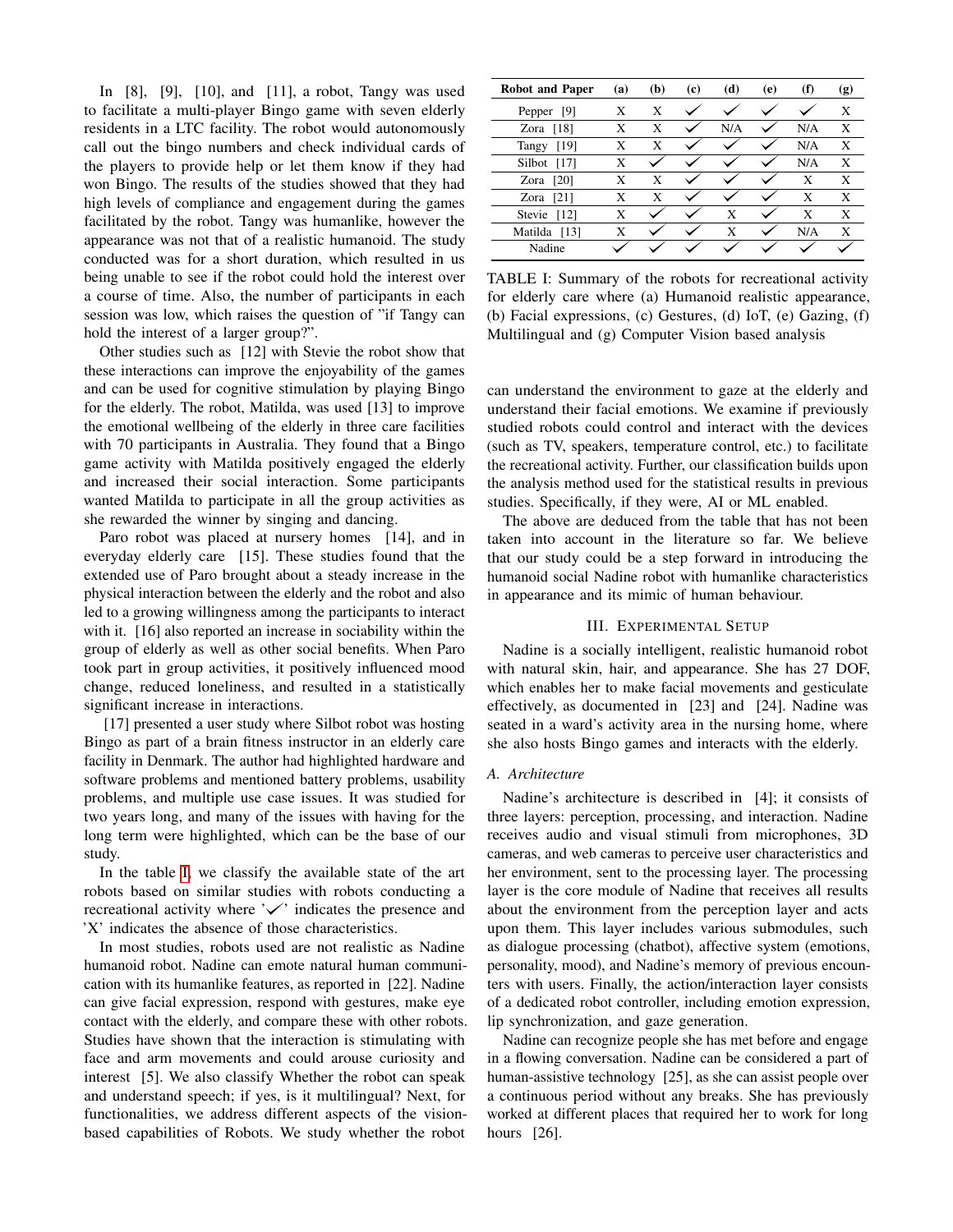In [8], [9], [10], and [11], a robot, Tangy was used to facilitate a multi-player Bingo game with seven elderly residents in a LTC facility. The robot would autonomously call out the bingo numbers and check individual cards of the players to provide help or let them know if they had won Bingo. The results of the studies showed that they had high levels of compliance and engagement during the games facilitated by the robot. Tangy was humanlike, however the appearance was not that of a realistic humanoid. The study conducted was for a short duration, which resulted in us being unable to see if the robot could hold the interest over a course of time. Also, the number of participants in each session was low, which raises the question of "if Tangy can hold the interest of a larger group?".

Other studies such as [12] with Stevie the robot show that these interactions can improve the enjoyability of the games and can be used for cognitive stimulation by playing Bingo for the elderly. The robot, Matilda, was used [13] to improve the emotional wellbeing of the elderly in three care facilities with 70 participants in Australia. They found that a Bingo game activity with Matilda positively engaged the elderly and increased their social interaction. Some participants wanted Matilda to participate in all the group activities as she rewarded the winner by singing and dancing.

Paro robot was placed at nursery homes [14], and in everyday elderly care [15]. These studies found that the extended use of Paro brought about a steady increase in the physical interaction between the elderly and the robot and also led to a growing willingness among the participants to interact with it. [16] also reported an increase in sociability within the group of elderly as well as other social benefits. When Paro took part in group activities, it positively influenced mood change, reduced loneliness, and resulted in a statistically significant increase in interactions.

[17] presented a user study where Silbot robot was hosting Bingo as part of a brain fitness instructor in an elderly care facility in Denmark. The author had highlighted hardware and software problems and mentioned battery problems, usability problems, and multiple use case issues. It was studied for two years long, and many of the issues with having for the long term were highlighted, which can be the base of our study.

In the table [I,](#page-1-1) we classify the available state of the art robots based on similar studies with robots conducting a recreational activity where  $\sqrt{\cdot}$  indicates the presence and 'X' indicates the absence of those characteristics.

In most studies, robots used are not realistic as Nadine humanoid robot. Nadine can emote natural human communication with its humanlike features, as reported in [22]. Nadine can give facial expression, respond with gestures, make eye contact with the elderly, and compare these with other robots. Studies have shown that the interaction is stimulating with face and arm movements and could arouse curiosity and interest [5]. We also classify Whether the robot can speak and understand speech; if yes, is it multilingual? Next, for functionalities, we address different aspects of the visionbased capabilities of Robots. We study whether the robot

<span id="page-1-1"></span>

| <b>Robot and Paper</b> | (a) | (b) | (c) | (d) | (e) | $\bf(f)$ | (g) |
|------------------------|-----|-----|-----|-----|-----|----------|-----|
| Pepper [9]             | X   | X   |     |     |     |          | X   |
| Zora $[18]$            | X   | X   |     | N/A |     | N/A      | X   |
| [19]<br>Tangy          | X   | X   |     |     |     | N/A      | X   |
| Silbot $[17]$          | X   |     |     |     |     | N/A      | X   |
| Zora $[20]$            | X   | X   |     |     |     | X        | X   |
| Zora $[21]$            | X   | X   |     |     |     | X        | X   |
| Stevie [12]            | X   |     |     | X   |     | X        | X   |
| Matilda [13]           | X   |     |     | X   |     | N/A      | X   |
| Nadine                 |     |     |     |     |     |          |     |

TABLE I: Summary of the robots for recreational activity for elderly care where (a) Humanoid realistic appearance, (b) Facial expressions, (c) Gestures, (d) IoT, (e) Gazing, (f) Multilingual and (g) Computer Vision based analysis

can understand the environment to gaze at the elderly and understand their facial emotions. We examine if previously studied robots could control and interact with the devices (such as TV, speakers, temperature control, etc.) to facilitate the recreational activity. Further, our classification builds upon the analysis method used for the statistical results in previous studies. Specifically, if they were, AI or ML enabled.

The above are deduced from the table that has not been taken into account in the literature so far. We believe that our study could be a step forward in introducing the humanoid social Nadine robot with humanlike characteristics in appearance and its mimic of human behaviour.

# III. EXPERIMENTAL SETUP

<span id="page-1-0"></span>Nadine is a socially intelligent, realistic humanoid robot with natural skin, hair, and appearance. She has 27 DOF, which enables her to make facial movements and gesticulate effectively, as documented in [23] and [24]. Nadine was seated in a ward's activity area in the nursing home, where she also hosts Bingo games and interacts with the elderly.

## *A. Architecture*

Nadine's architecture is described in [4]; it consists of three layers: perception, processing, and interaction. Nadine receives audio and visual stimuli from microphones, 3D cameras, and web cameras to perceive user characteristics and her environment, sent to the processing layer. The processing layer is the core module of Nadine that receives all results about the environment from the perception layer and acts upon them. This layer includes various submodules, such as dialogue processing (chatbot), affective system (emotions, personality, mood), and Nadine's memory of previous encounters with users. Finally, the action/interaction layer consists of a dedicated robot controller, including emotion expression, lip synchronization, and gaze generation.

Nadine can recognize people she has met before and engage in a flowing conversation. Nadine can be considered a part of human-assistive technology [25], as she can assist people over a continuous period without any breaks. She has previously worked at different places that required her to work for long hours [26].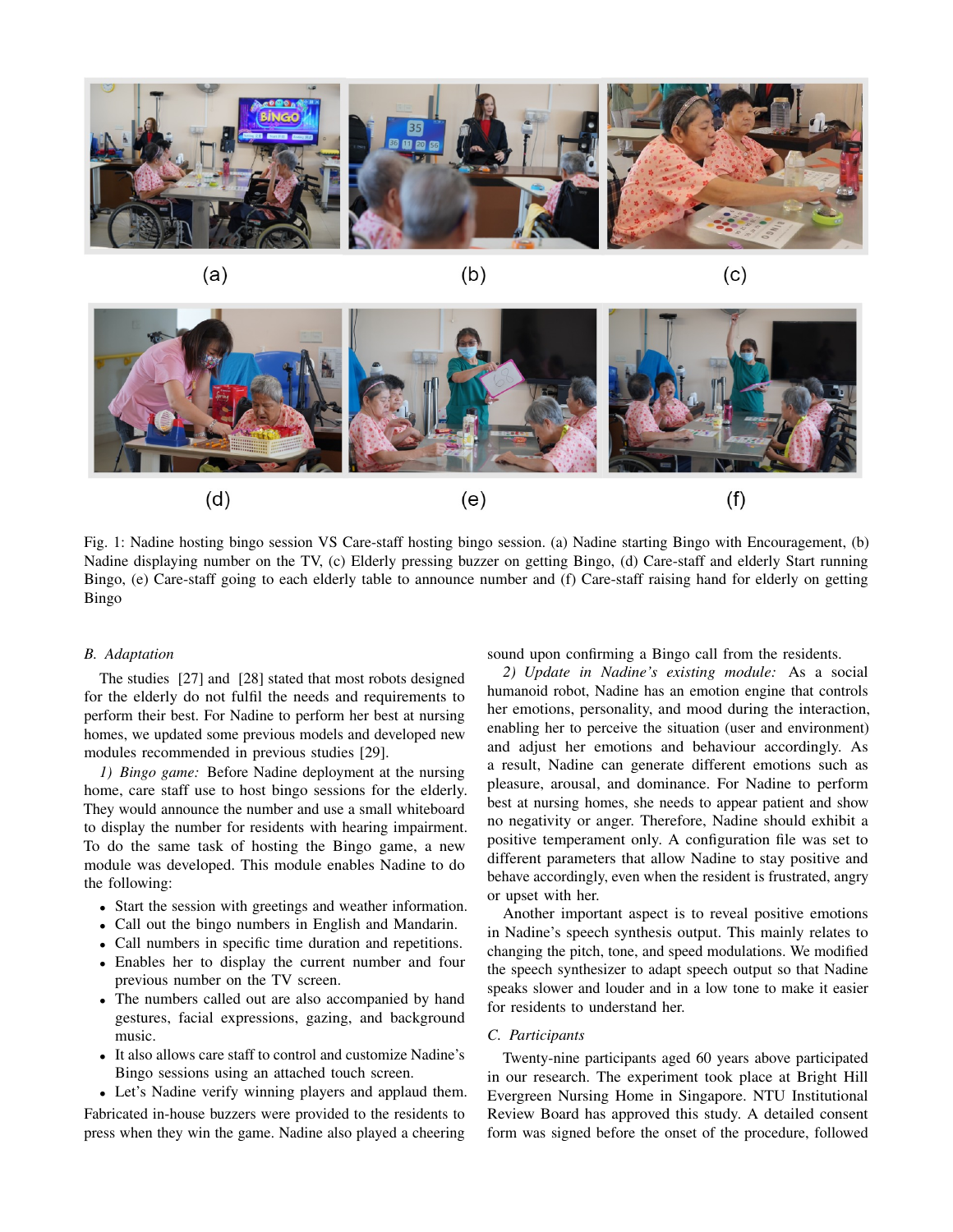



 $(b)$ 

 $(c)$ 



Fig. 1: Nadine hosting bingo session VS Care-staff hosting bingo session. (a) Nadine starting Bingo with Encouragement, (b) Nadine displaying number on the TV, (c) Elderly pressing buzzer on getting Bingo, (d) Care-staff and elderly Start running Bingo, (e) Care-staff going to each elderly table to announce number and (f) Care-staff raising hand for elderly on getting Bingo

## *B. Adaptation*

The studies [27] and [28] stated that most robots designed for the elderly do not fulfil the needs and requirements to perform their best. For Nadine to perform her best at nursing homes, we updated some previous models and developed new modules recommended in previous studies [29].

*1) Bingo game:* Before Nadine deployment at the nursing home, care staff use to host bingo sessions for the elderly. They would announce the number and use a small whiteboard to display the number for residents with hearing impairment. To do the same task of hosting the Bingo game, a new module was developed. This module enables Nadine to do the following:

- Start the session with greetings and weather information.
- Call out the bingo numbers in English and Mandarin.
- Call numbers in specific time duration and repetitions.
- Enables her to display the current number and four previous number on the TV screen.
- The numbers called out are also accompanied by hand gestures, facial expressions, gazing, and background music.
- It also allows care staff to control and customize Nadine's Bingo sessions using an attached touch screen.

• Let's Nadine verify winning players and applaud them. Fabricated in-house buzzers were provided to the residents to press when they win the game. Nadine also played a cheering

sound upon confirming a Bingo call from the residents.

*2) Update in Nadine's existing module:* As a social humanoid robot, Nadine has an emotion engine that controls her emotions, personality, and mood during the interaction, enabling her to perceive the situation (user and environment) and adjust her emotions and behaviour accordingly. As a result, Nadine can generate different emotions such as pleasure, arousal, and dominance. For Nadine to perform best at nursing homes, she needs to appear patient and show no negativity or anger. Therefore, Nadine should exhibit a positive temperament only. A configuration file was set to different parameters that allow Nadine to stay positive and behave accordingly, even when the resident is frustrated, angry or upset with her.

Another important aspect is to reveal positive emotions in Nadine's speech synthesis output. This mainly relates to changing the pitch, tone, and speed modulations. We modified the speech synthesizer to adapt speech output so that Nadine speaks slower and louder and in a low tone to make it easier for residents to understand her.

# *C. Participants*

Twenty-nine participants aged 60 years above participated in our research. The experiment took place at Bright Hill Evergreen Nursing Home in Singapore. NTU Institutional Review Board has approved this study. A detailed consent form was signed before the onset of the procedure, followed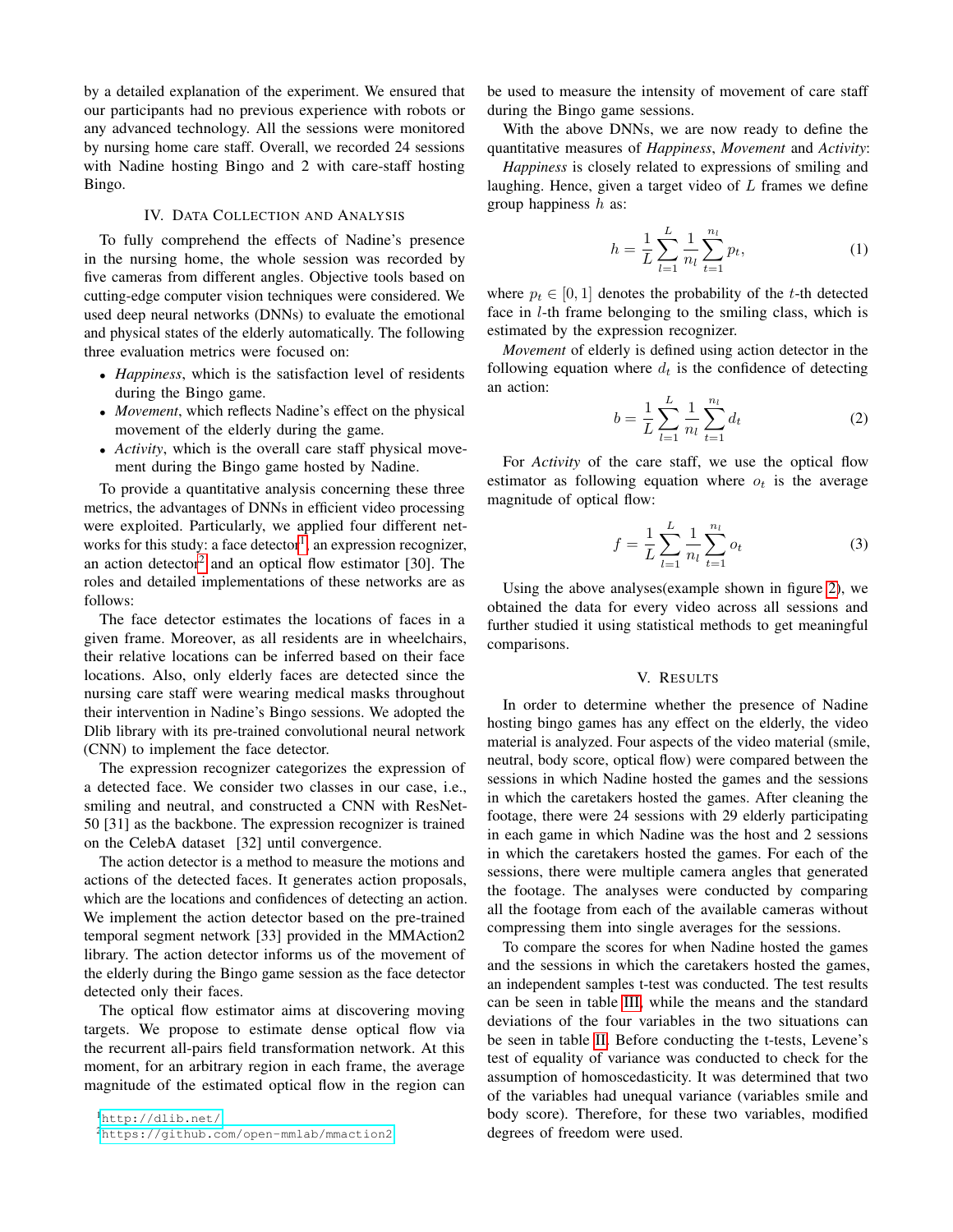by a detailed explanation of the experiment. We ensured that our participants had no previous experience with robots or any advanced technology. All the sessions were monitored by nursing home care staff. Overall, we recorded 24 sessions with Nadine hosting Bingo and 2 with care-staff hosting Bingo.

## IV. DATA COLLECTION AND ANALYSIS

<span id="page-3-0"></span>To fully comprehend the effects of Nadine's presence in the nursing home, the whole session was recorded by five cameras from different angles. Objective tools based on cutting-edge computer vision techniques were considered. We used deep neural networks (DNNs) to evaluate the emotional and physical states of the elderly automatically. The following three evaluation metrics were focused on:

- *Happiness*, which is the satisfaction level of residents during the Bingo game.
- *Movement*, which reflects Nadine's effect on the physical movement of the elderly during the game.
- *Activity*, which is the overall care staff physical movement during the Bingo game hosted by Nadine.

To provide a quantitative analysis concerning these three metrics, the advantages of DNNs in efficient video processing were exploited. Particularly, we applied four different net-works for this study: a face detector<sup>[1](#page-3-2)</sup>, an expression recognizer, an action detector<sup>[2](#page-3-3)</sup> and an optical flow estimator [30]. The roles and detailed implementations of these networks are as follows:

The face detector estimates the locations of faces in a given frame. Moreover, as all residents are in wheelchairs, their relative locations can be inferred based on their face locations. Also, only elderly faces are detected since the nursing care staff were wearing medical masks throughout their intervention in Nadine's Bingo sessions. We adopted the Dlib library with its pre-trained convolutional neural network (CNN) to implement the face detector.

The expression recognizer categorizes the expression of a detected face. We consider two classes in our case, i.e., smiling and neutral, and constructed a CNN with ResNet-50 [31] as the backbone. The expression recognizer is trained on the CelebA dataset [32] until convergence.

The action detector is a method to measure the motions and actions of the detected faces. It generates action proposals, which are the locations and confidences of detecting an action. We implement the action detector based on the pre-trained temporal segment network [33] provided in the MMAction2 library. The action detector informs us of the movement of the elderly during the Bingo game session as the face detector detected only their faces.

The optical flow estimator aims at discovering moving targets. We propose to estimate dense optical flow via the recurrent all-pairs field transformation network. At this moment, for an arbitrary region in each frame, the average magnitude of the estimated optical flow in the region can be used to measure the intensity of movement of care staff during the Bingo game sessions.

With the above DNNs, we are now ready to define the quantitative measures of *Happiness*, *Movement* and *Activity*:

*Happiness* is closely related to expressions of smiling and laughing. Hence, given a target video of  $L$  frames we define group happiness  $h$  as:

$$
h = \frac{1}{L} \sum_{l=1}^{L} \frac{1}{n_l} \sum_{t=1}^{n_l} p_t,
$$
\n(1)

where  $p_t \in [0, 1]$  denotes the probability of the t-th detected face in l-th frame belonging to the smiling class, which is estimated by the expression recognizer.

*Movement* of elderly is defined using action detector in the following equation where  $d_t$  is the confidence of detecting an action:

$$
b = \frac{1}{L} \sum_{l=1}^{L} \frac{1}{n_l} \sum_{t=1}^{n_l} d_t
$$
 (2)

For *Activity* of the care staff, we use the optical flow estimator as following equation where  $o_t$  is the average magnitude of optical flow:

$$
f = \frac{1}{L} \sum_{l=1}^{L} \frac{1}{n_l} \sum_{t=1}^{n_l} o_t
$$
 (3)

Using the above analyses(example shown in figure [2\)](#page-4-1), we obtained the data for every video across all sessions and further studied it using statistical methods to get meaningful comparisons.

## V. RESULTS

<span id="page-3-1"></span>In order to determine whether the presence of Nadine hosting bingo games has any effect on the elderly, the video material is analyzed. Four aspects of the video material (smile, neutral, body score, optical flow) were compared between the sessions in which Nadine hosted the games and the sessions in which the caretakers hosted the games. After cleaning the footage, there were 24 sessions with 29 elderly participating in each game in which Nadine was the host and 2 sessions in which the caretakers hosted the games. For each of the sessions, there were multiple camera angles that generated the footage. The analyses were conducted by comparing all the footage from each of the available cameras without compressing them into single averages for the sessions.

To compare the scores for when Nadine hosted the games and the sessions in which the caretakers hosted the games, an independent samples t-test was conducted. The test results can be seen in table [III,](#page-4-2) while the means and the standard deviations of the four variables in the two situations can be seen in table [II.](#page-4-3) Before conducting the t-tests, Levene's test of equality of variance was conducted to check for the assumption of homoscedasticity. It was determined that two of the variables had unequal variance (variables smile and body score). Therefore, for these two variables, modified degrees of freedom were used.

<span id="page-3-3"></span><span id="page-3-2"></span><sup>1</sup><http://dlib.net/> <sup>2</sup><https://github.com/open-mmlab/mmaction2>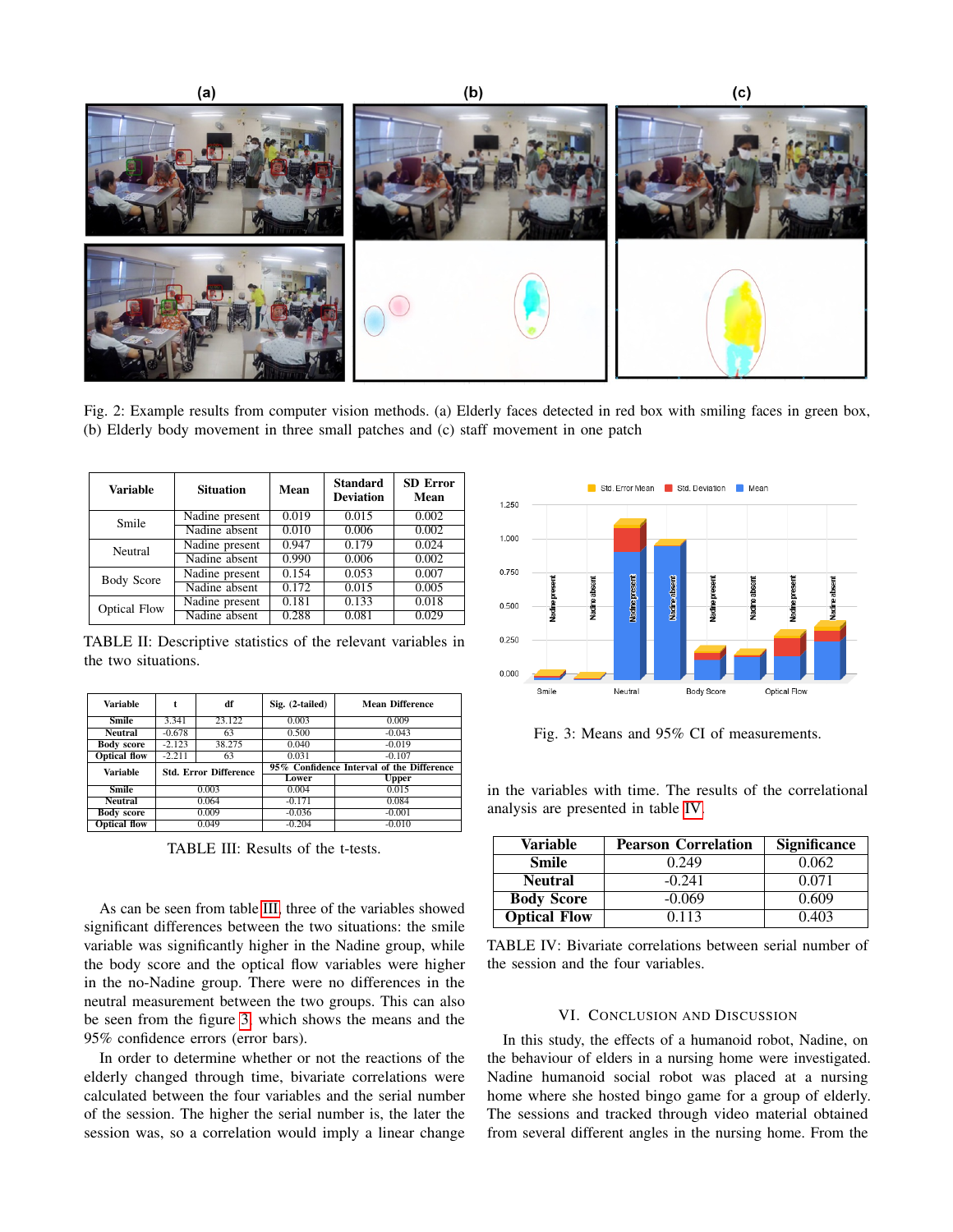<span id="page-4-1"></span>

Fig. 2: Example results from computer vision methods. (a) Elderly faces detected in red box with smiling faces in green box, (b) Elderly body movement in three small patches and (c) staff movement in one patch

<span id="page-4-3"></span>

| Variable            | <b>Situation</b> | Mean  | <b>Standard</b><br><b>Deviation</b> | <b>SD</b> Error<br>Mean |
|---------------------|------------------|-------|-------------------------------------|-------------------------|
| Smile               | Nadine present   | 0.019 | 0.015                               | 0.002                   |
|                     | Nadine absent    | 0.010 | 0.006                               | 0.002                   |
| Neutral             | Nadine present   | 0.947 | 0.179                               | 0.024                   |
|                     | Nadine absent    | 0.990 | 0.006                               | 0.002                   |
| Body Score          | Nadine present   | 0.154 | 0.053                               | 0.007                   |
|                     | Nadine absent    | 0.172 | 0.015                               | 0.005                   |
| <b>Optical Flow</b> | Nadine present   | 0.181 | 0.133                               | 0.018                   |
|                     | Nadine absent    | 0.288 | 0.081                               | 0.029                   |

TABLE II: Descriptive statistics of the relevant variables in the two situations.

<span id="page-4-2"></span>

| <b>Variable</b>     |                              | df     | Sig. (2-tailed)                           | <b>Mean Difference</b> |  |  |
|---------------------|------------------------------|--------|-------------------------------------------|------------------------|--|--|
| Smile               | 3.341                        | 23.122 | 0.003                                     | 0.009                  |  |  |
| <b>Neutral</b>      | $-0.678$                     | 63     | 0.500                                     | $-0.043$               |  |  |
| <b>Body score</b>   | $-2.123$                     | 38.275 | 0.040                                     | $-0.019$               |  |  |
| <b>Optical flow</b> | $-2.211$                     | 63     | 0.031                                     | $-0.107$               |  |  |
| <b>Variable</b>     | <b>Std. Error Difference</b> |        | 95% Confidence Interval of the Difference |                        |  |  |
|                     |                              |        | Lower                                     | <b>Upper</b>           |  |  |
| <b>Smile</b>        | 0.003                        |        | 0.004                                     | 0.015                  |  |  |
| <b>Neutral</b>      | 0.064                        |        | $-0.171$                                  | 0.084                  |  |  |
| <b>Body score</b>   | 0.009                        |        | $-0.036$                                  | $-0.001$               |  |  |
| <b>Optical flow</b> | 0.049                        |        | $-0.204$                                  | $-0.010$               |  |  |

TABLE III: Results of the t-tests.

As can be seen from table [III,](#page-4-2) three of the variables showed significant differences between the two situations: the smile variable was significantly higher in the Nadine group, while the body score and the optical flow variables were higher in the no-Nadine group. There were no differences in the neutral measurement between the two groups. This can also be seen from the figure [3,](#page-4-4) which shows the means and the 95% confidence errors (error bars).

In order to determine whether or not the reactions of the elderly changed through time, bivariate correlations were calculated between the four variables and the serial number of the session. The higher the serial number is, the later the session was, so a correlation would imply a linear change

<span id="page-4-4"></span>

Fig. 3: Means and 95% CI of measurements.

in the variables with time. The results of the correlational analysis are presented in table [IV.](#page-4-5)

<span id="page-4-5"></span>

| Variable            | <b>Pearson Correlation</b> | <b>Significance</b> |
|---------------------|----------------------------|---------------------|
| <b>Smile</b>        | 0.249                      | 0.062               |
| <b>Neutral</b>      | $-0.241$                   | 0.071               |
| <b>Body Score</b>   | $-0.069$                   | 0.609               |
| <b>Optical Flow</b> | 0.113                      | 0.403               |

TABLE IV: Bivariate correlations between serial number of the session and the four variables.

# VI. CONCLUSION AND DISCUSSION

<span id="page-4-0"></span>In this study, the effects of a humanoid robot, Nadine, on the behaviour of elders in a nursing home were investigated. Nadine humanoid social robot was placed at a nursing home where she hosted bingo game for a group of elderly. The sessions and tracked through video material obtained from several different angles in the nursing home. From the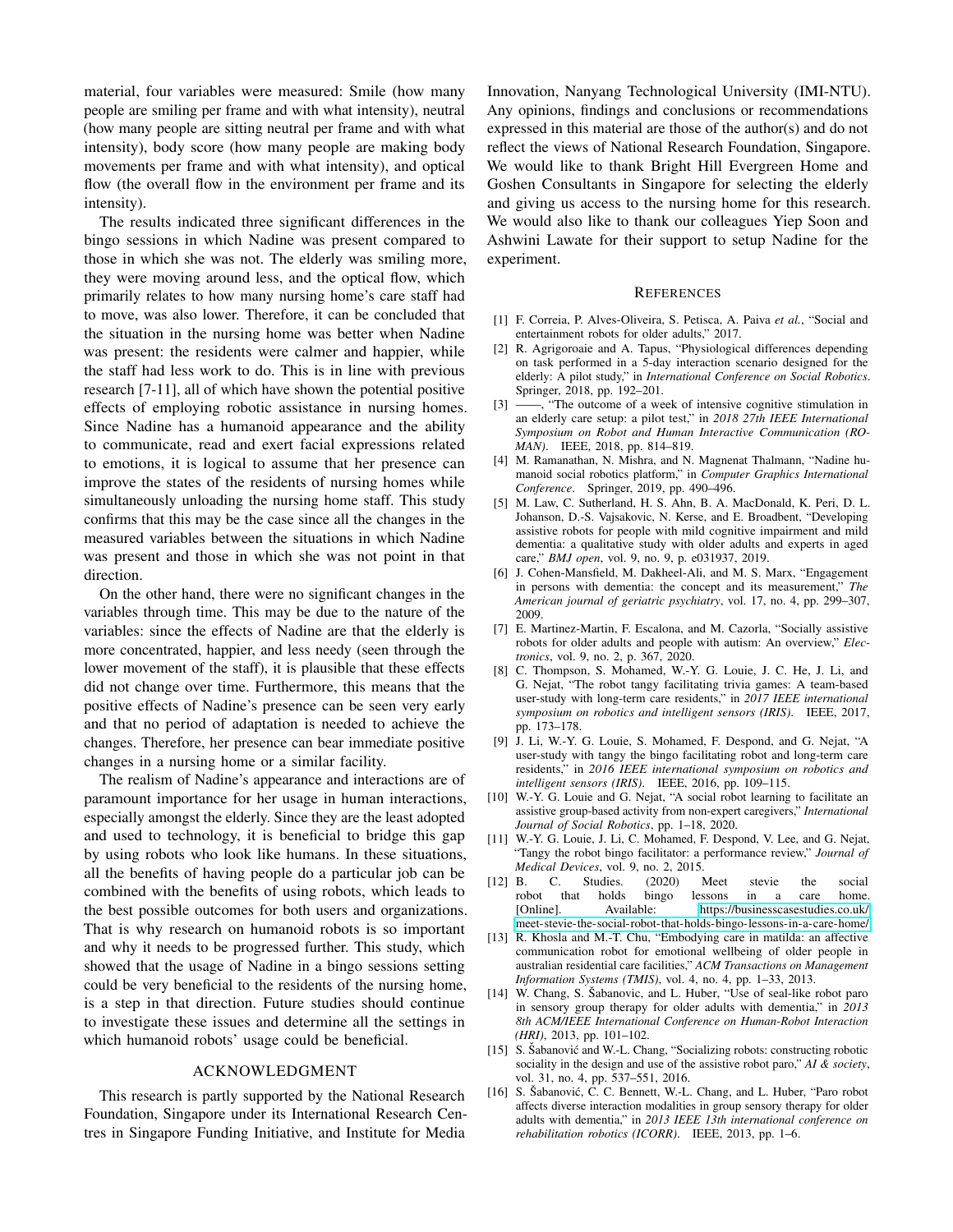material, four variables were measured: Smile (how many people are smiling per frame and with what intensity), neutral (how many people are sitting neutral per frame and with what intensity), body score (how many people are making body movements per frame and with what intensity), and optical flow (the overall flow in the environment per frame and its intensity).

The results indicated three significant differences in the bingo sessions in which Nadine was present compared to those in which she was not. The elderly was smiling more, they were moving around less, and the optical flow, which primarily relates to how many nursing home's care staff had to move, was also lower. Therefore, it can be concluded that the situation in the nursing home was better when Nadine was present: the residents were calmer and happier, while the staff had less work to do. This is in line with previous research [7-11], all of which have shown the potential positive effects of employing robotic assistance in nursing homes. Since Nadine has a humanoid appearance and the ability to communicate, read and exert facial expressions related to emotions, it is logical to assume that her presence can improve the states of the residents of nursing homes while simultaneously unloading the nursing home staff. This study confirms that this may be the case since all the changes in the measured variables between the situations in which Nadine was present and those in which she was not point in that direction.

On the other hand, there were no significant changes in the variables through time. This may be due to the nature of the variables: since the effects of Nadine are that the elderly is more concentrated, happier, and less needy (seen through the lower movement of the staff), it is plausible that these effects did not change over time. Furthermore, this means that the positive effects of Nadine's presence can be seen very early and that no period of adaptation is needed to achieve the changes. Therefore, her presence can bear immediate positive changes in a nursing home or a similar facility.

The realism of Nadine's appearance and interactions are of paramount importance for her usage in human interactions, especially amongst the elderly. Since they are the least adopted and used to technology, it is beneficial to bridge this gap by using robots who look like humans. In these situations, all the benefits of having people do a particular job can be combined with the benefits of using robots, which leads to the best possible outcomes for both users and organizations. That is why research on humanoid robots is so important and why it needs to be progressed further. This study, which showed that the usage of Nadine in a bingo sessions setting could be very beneficial to the residents of the nursing home, is a step in that direction. Future studies should continue to investigate these issues and determine all the settings in which humanoid robots' usage could be beneficial.

# ACKNOWLEDGMENT

This research is partly supported by the National Research Foundation, Singapore under its International Research Centres in Singapore Funding Initiative, and Institute for Media

Innovation, Nanyang Technological University (IMI-NTU). Any opinions, findings and conclusions or recommendations expressed in this material are those of the author(s) and do not reflect the views of National Research Foundation, Singapore. We would like to thank Bright Hill Evergreen Home and Goshen Consultants in Singapore for selecting the elderly and giving us access to the nursing home for this research. We would also like to thank our colleagues Yiep Soon and Ashwini Lawate for their support to setup Nadine for the experiment.

#### **REFERENCES**

- [1] F. Correia, P. Alves-Oliveira, S. Petisca, A. Paiva *et al.*, "Social and entertainment robots for older adults," 2017.
- [2] R. Agrigoroaie and A. Tapus, "Physiological differences depending on task performed in a 5-day interaction scenario designed for the elderly: A pilot study," in *International Conference on Social Robotics*. Springer, 2018, pp. 192–201.
- [3] ——, "The outcome of a week of intensive cognitive stimulation in an elderly care setup: a pilot test," in *2018 27th IEEE International Symposium on Robot and Human Interactive Communication (RO-MAN)*. IEEE, 2018, pp. 814–819.
- [4] M. Ramanathan, N. Mishra, and N. Magnenat Thalmann, "Nadine humanoid social robotics platform," in *Computer Graphics International Conference*. Springer, 2019, pp. 490–496.
- [5] M. Law, C. Sutherland, H. S. Ahn, B. A. MacDonald, K. Peri, D. L. Johanson, D.-S. Vajsakovic, N. Kerse, and E. Broadbent, "Developing assistive robots for people with mild cognitive impairment and mild dementia: a qualitative study with older adults and experts in aged care," *BMJ open*, vol. 9, no. 9, p. e031937, 2019.
- [6] J. Cohen-Mansfield, M. Dakheel-Ali, and M. S. Marx, "Engagement in persons with dementia: the concept and its measurement," *The American journal of geriatric psychiatry*, vol. 17, no. 4, pp. 299–307, 2009.
- [7] E. Martinez-Martin, F. Escalona, and M. Cazorla, "Socially assistive robots for older adults and people with autism: An overview," *Electronics*, vol. 9, no. 2, p. 367, 2020.
- [8] C. Thompson, S. Mohamed, W.-Y. G. Louie, J. C. He, J. Li, and G. Nejat, "The robot tangy facilitating trivia games: A team-based user-study with long-term care residents," in *2017 IEEE international symposium on robotics and intelligent sensors (IRIS)*. IEEE, 2017, pp. 173–178.
- [9] J. Li, W.-Y. G. Louie, S. Mohamed, F. Despond, and G. Nejat, "A user-study with tangy the bingo facilitating robot and long-term care residents," in *2016 IEEE international symposium on robotics and intelligent sensors (IRIS)*. IEEE, 2016, pp. 109–115.
- [10] W.-Y. G. Louie and G. Nejat, "A social robot learning to facilitate an assistive group-based activity from non-expert caregivers," *International Journal of Social Robotics*, pp. 1–18, 2020.
- [11] W.-Y. G. Louie, J. Li, C. Mohamed, F. Despond, V. Lee, and G. Nejat, "Tangy the robot bingo facilitator: a performance review," *Journal of Medical Devices*, vol. 9, no. 2, 2015.
- [12] B. C. Studies. (2020) Meet stevie the social robot that holds bingo lessons in a care home. [Online]. Available: [https://businesscasestudies.co.uk/](https://businesscasestudies.co.uk/meet-stevie-the-social-robot-that-holds-bingo-lessons-in-a-care-home/) [meet-stevie-the-social-robot-that-holds-bingo-lessons-in-a-care-home/](https://businesscasestudies.co.uk/meet-stevie-the-social-robot-that-holds-bingo-lessons-in-a-care-home/)
- [13] R. Khosla and M.-T. Chu, "Embodying care in matilda: an affective communication robot for emotional wellbeing of older people in australian residential care facilities," *ACM Transactions on Management Information Systems (TMIS)*, vol. 4, no. 4, pp. 1–33, 2013.
- [14] W. Chang, S. Šabanovic, and L. Huber, "Use of seal-like robot paro in sensory group therapy for older adults with dementia," in *2013 8th ACM/IEEE International Conference on Human-Robot Interaction (HRI)*, 2013, pp. 101–102.
- [15] S. Šabanović and W.-L. Chang, "Socializing robots: constructing robotic sociality in the design and use of the assistive robot paro," *AI & society*, vol. 31, no. 4, pp. 537–551, 2016.
- [16] S. Šabanović, C. C. Bennett, W.-L. Chang, and L. Huber, "Paro robot affects diverse interaction modalities in group sensory therapy for older adults with dementia," in *2013 IEEE 13th international conference on rehabilitation robotics (ICORR)*. IEEE, 2013, pp. 1–6.